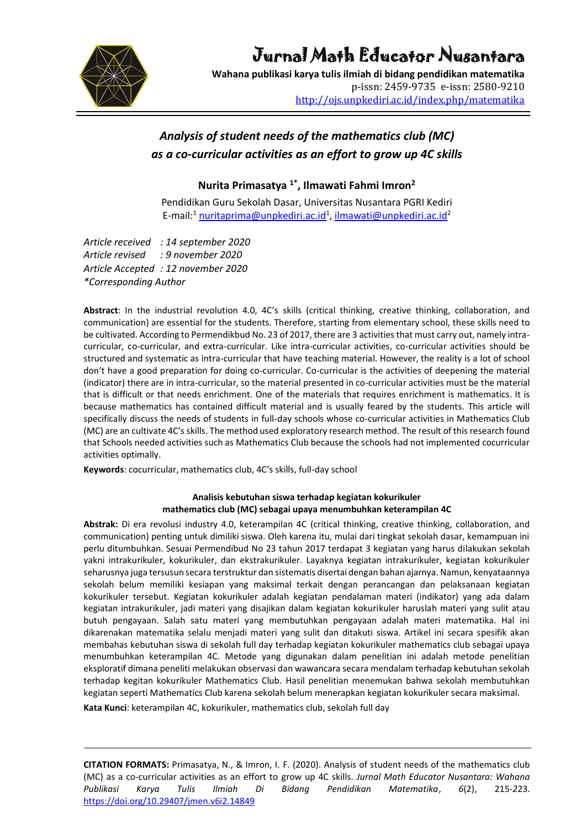

# Jurnal Math Educator Nusantara

**Wahana publikasi karya tulis ilmiah di bidang pendidikan matematika** p-issn: 2459-9735 e-issn: 2580-9210 <http://ojs.unpkediri.ac.id/index.php/matematika>

## *Analysis of student needs of the mathematics club (MC) as a co-curricular activities as an effort to grow up 4C skills*

**Nurita Primasatya 1\* , Ilmawati Fahmi Imron<sup>2</sup>**

Pendidikan Guru Sekolah Dasar, Universitas Nusantara PGRI Kediri E-mail:<sup>1</sup> [nuritaprima@unpkediri.ac.id](mailto:nuritaprima@unpkediri.ac.id)<sup>1</sup>, [ilmawati@unpkediri.ac.id](mailto:ilmawati@unpkediri.ac.id)<sup>2</sup>

*Article received : 14 september 2020 Article revised : 9 november 2020 Article Accepted : 12 november 2020 \*Corresponding Author*

**Abstract**: In the industrial revolution 4.0, 4C's skills (critical thinking, creative thinking, collaboration, and communication) are essential for the students. Therefore, starting from elementary school, these skills need to be cultivated. According to Permendikbud No. 23 of 2017, there are 3 activities that must carry out, namely intracurricular, co-curricular, and extra-curricular. Like intra-curricular activities, co-curricular activities should be structured and systematic as intra-curricular that have teaching material. However, the reality is a lot of school don't have a good preparation for doing co-curricular. Co-curricular is the activities of deepening the material (indicator) there are in intra-curricular, so the material presented in co-curricular activities must be the material that is difficult or that needs enrichment. One of the materials that requires enrichment is mathematics. It is because mathematics has contained difficult material and is usually feared by the students. This article will specifically discuss the needs of students in full-day schools whose co-curricular activities in Mathematics Club (MC) are an cultivate 4C's skills. The method used exploratory research method. The result of this research found that Schools needed activities such as Mathematics Club because the schools had not implemented cocurricular activities optimally.

**Keywords**: cocurricular, mathematics club, 4C's skills, full-day school

#### **Analisis kebutuhan siswa terhadap kegiatan kokurikuler mathematics club (MC) sebagai upaya menumbuhkan keterampilan 4C**

**Abstrak:** Di era revolusi industry 4.0, keterampilan 4C (critical thinking, creative thinking, collaboration, and communication) penting untuk dimiliki siswa. Oleh karena itu, mulai dari tingkat sekolah dasar, kemampuan ini perlu ditumbuhkan. Sesuai Permendibud No 23 tahun 2017 terdapat 3 kegiatan yang harus dilakukan sekolah yakni intrakurikuler, kokurikuler, dan ekstrakurikuler. Layaknya kegiatan intrakurikuler, kegiatan kokurikuler seharusnya juga tersusun secara terstruktur dan sistematis disertai dengan bahan ajarnya. Namun, kenyataannya sekolah belum memiliki kesiapan yang maksimal terkait dengan perancangan dan pelaksanaan kegiatan kokurikuler tersebut. Kegiatan kokurikuler adalah kegiatan pendalaman materi (indikator) yang ada dalam kegiatan intrakurikuler, jadi materi yang disajikan dalam kegiatan kokurikuler haruslah materi yang sulit atau butuh pengayaan. Salah satu materi yang membutuhkan pengayaan adalah materi matematika. Hal ini dikarenakan matematika selalu menjadi materi yang sulit dan ditakuti siswa. Artikel ini secara spesifik akan membahas kebutuhan siswa di sekolah full day terhadap kegiatan kokurikuler mathematics club sebagai upaya menumbuhkan keterampilan 4C. Metode yang digunakan dalam penelitian ini adalah metode penelitian eksploratif dimana peneliti melakukan observasi dan wawancara secara mendalam terhadap kebutuhan sekolah terhadap kegitan kokurikuler Mathematics Club. Hasil penelitian menemukan bahwa sekolah membutuhkan kegiatan seperti Mathematics Club karena sekolah belum menerapkan kegiatan kokurikuler secara maksimal.

**Kata Kunci**: keterampilan 4C, kokurikuler, mathematics club, sekolah full day

**CITATION FORMATS:** Primasatya, N., & Imron, I. F. (2020). Analysis of student needs of the mathematics club (MC) as a co-curricular activities as an effort to grow up 4C skills. *Jurnal Math Educator Nusantara: Wahana Publikasi Karya Tulis Ilmiah Di Bidang Pendidikan Matematika*, *6*(2), 215*-2*23. <https://doi.org/10.29407/jmen.v6i2.14849>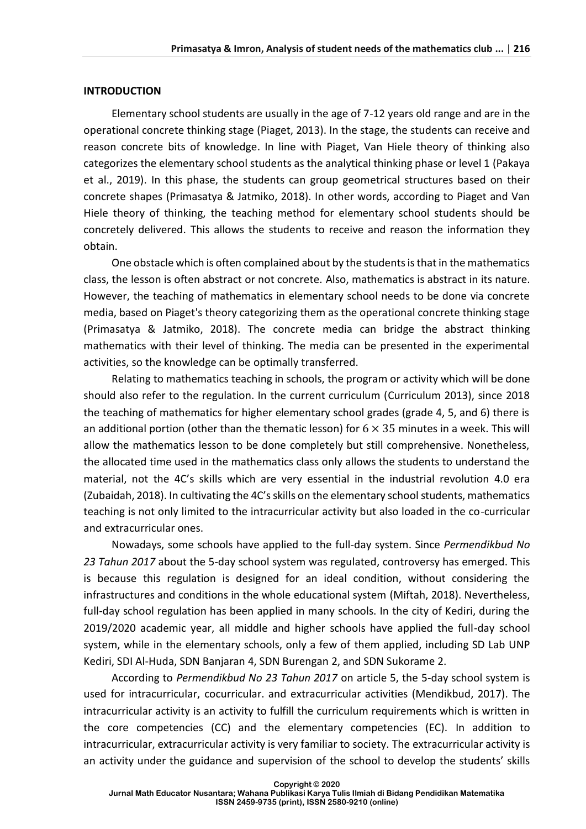#### **INTRODUCTION**

Elementary school students are usually in the age of 7-12 years old range and are in the operational concrete thinking stage (Piaget, 2013). In the stage, the students can receive and reason concrete bits of knowledge. In line with Piaget, Van Hiele theory of thinking also categorizes the elementary school students as the analytical thinking phase or level 1 (Pakaya et al., 2019). In this phase, the students can group geometrical structures based on their concrete shapes (Primasatya & Jatmiko, 2018). In other words, according to Piaget and Van Hiele theory of thinking, the teaching method for elementary school students should be concretely delivered. This allows the students to receive and reason the information they obtain.

One obstacle which is often complained about by the students is that in the mathematics class, the lesson is often abstract or not concrete. Also, mathematics is abstract in its nature. However, the teaching of mathematics in elementary school needs to be done via concrete media, based on Piaget's theory categorizing them as the operational concrete thinking stage (Primasatya & Jatmiko, 2018). The concrete media can bridge the abstract thinking mathematics with their level of thinking. The media can be presented in the experimental activities, so the knowledge can be optimally transferred.

Relating to mathematics teaching in schools, the program or activity which will be done should also refer to the regulation. In the current curriculum (Curriculum 2013), since 2018 the teaching of mathematics for higher elementary school grades (grade 4, 5, and 6) there is an additional portion (other than the thematic lesson) for  $6 \times 35$  minutes in a week. This will allow the mathematics lesson to be done completely but still comprehensive. Nonetheless, the allocated time used in the mathematics class only allows the students to understand the material, not the 4C's skills which are very essential in the industrial revolution 4.0 era (Zubaidah, 2018). In cultivating the 4C's skills on the elementary school students, mathematics teaching is not only limited to the intracurricular activity but also loaded in the co-curricular and extracurricular ones.

Nowadays, some schools have applied to the full-day system. Since *Permendikbud No 23 Tahun 2017* about the 5-day school system was regulated, controversy has emerged. This is because this regulation is designed for an ideal condition, without considering the infrastructures and conditions in the whole educational system (Miftah, 2018). Nevertheless, full-day school regulation has been applied in many schools. In the city of Kediri, during the 2019/2020 academic year, all middle and higher schools have applied the full-day school system, while in the elementary schools, only a few of them applied, including SD Lab UNP Kediri, SDI Al-Huda, SDN Banjaran 4, SDN Burengan 2, and SDN Sukorame 2.

According to *Permendikbud No 23 Tahun 2017* on article 5, the 5-day school system is used for intracurricular, cocurricular. and extracurricular activities (Mendikbud, 2017). The intracurricular activity is an activity to fulfill the curriculum requirements which is written in the core competencies (CC) and the elementary competencies (EC). In addition to intracurricular, extracurricular activity is very familiar to society. The extracurricular activity is an activity under the guidance and supervision of the school to develop the students' skills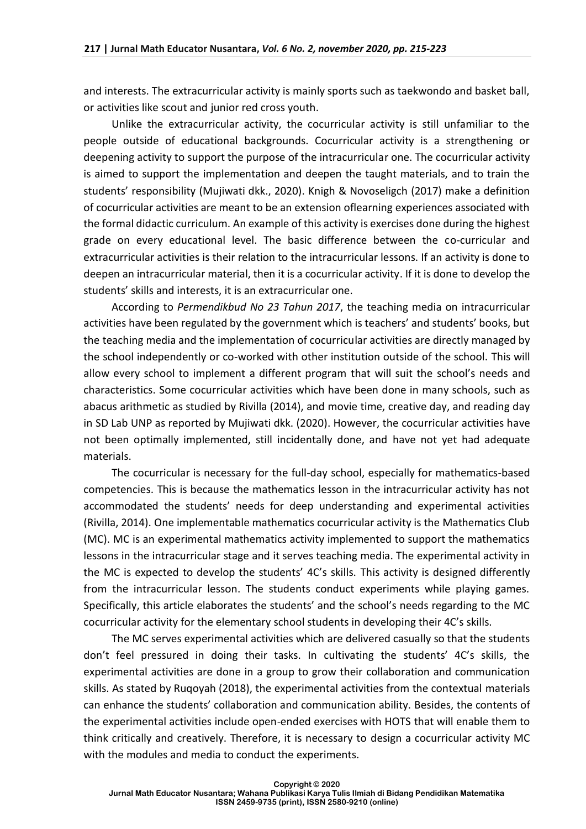and interests. The extracurricular activity is mainly sports such as taekwondo and basket ball, or activities like scout and junior red cross youth.

Unlike the extracurricular activity, the cocurricular activity is still unfamiliar to the people outside of educational backgrounds. Cocurricular activity is a strengthening or deepening activity to support the purpose of the intracurricular one. The cocurricular activity is aimed to support the implementation and deepen the taught materials, and to train the students' responsibility (Mujiwati dkk., 2020). Knigh & Novoseligch (2017) make a definition of cocurricular activities are meant to be an extension oflearning experiences associated with the formal didactic curriculum. An example of this activity is exercises done during the highest grade on every educational level. The basic difference between the co-curricular and extracurricular activities is their relation to the intracurricular lessons. If an activity is done to deepen an intracurricular material, then it is a cocurricular activity. If it is done to develop the students' skills and interests, it is an extracurricular one.

According to *Permendikbud No 23 Tahun 2017*, the teaching media on intracurricular activities have been regulated by the government which is teachers' and students' books, but the teaching media and the implementation of cocurricular activities are directly managed by the school independently or co-worked with other institution outside of the school. This will allow every school to implement a different program that will suit the school's needs and characteristics. Some cocurricular activities which have been done in many schools, such as abacus arithmetic as studied by Rivilla (2014), and movie time, creative day, and reading day in SD Lab UNP as reported by Mujiwati dkk. (2020). However, the cocurricular activities have not been optimally implemented, still incidentally done, and have not yet had adequate materials.

The cocurricular is necessary for the full-day school, especially for mathematics-based competencies. This is because the mathematics lesson in the intracurricular activity has not accommodated the students' needs for deep understanding and experimental activities (Rivilla, 2014). One implementable mathematics cocurricular activity is the Mathematics Club (MC). MC is an experimental mathematics activity implemented to support the mathematics lessons in the intracurricular stage and it serves teaching media. The experimental activity in the MC is expected to develop the students' 4C's skills. This activity is designed differently from the intracurricular lesson. The students conduct experiments while playing games. Specifically, this article elaborates the students' and the school's needs regarding to the MC cocurricular activity for the elementary school students in developing their 4C's skills.

The MC serves experimental activities which are delivered casually so that the students don't feel pressured in doing their tasks. In cultivating the students' 4C's skills, the experimental activities are done in a group to grow their collaboration and communication skills. As stated by Ruqoyah (2018), the experimental activities from the contextual materials can enhance the students' collaboration and communication ability. Besides, the contents of the experimental activities include open-ended exercises with HOTS that will enable them to think critically and creatively. Therefore, it is necessary to design a cocurricular activity MC with the modules and media to conduct the experiments.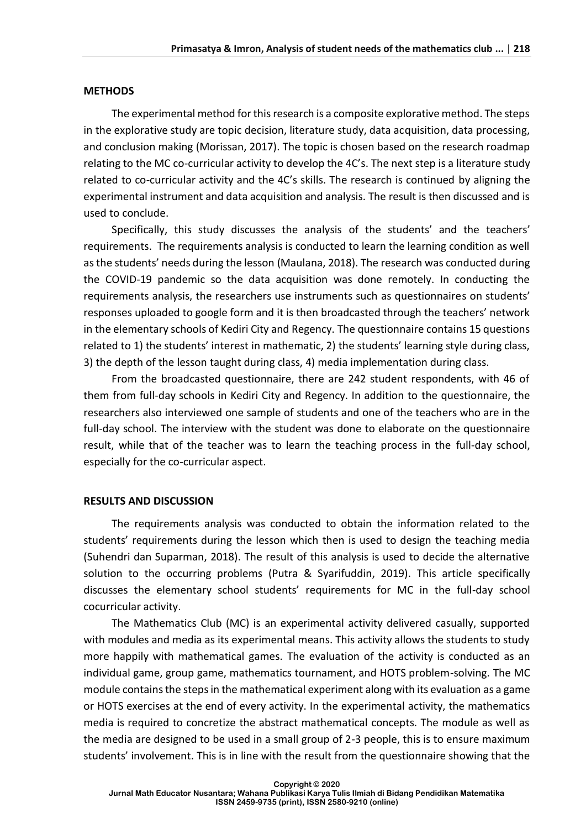#### **METHODS**

The experimental method for this research is a composite explorative method. The steps in the explorative study are topic decision, literature study, data acquisition, data processing, and conclusion making (Morissan, 2017). The topic is chosen based on the research roadmap relating to the MC co-curricular activity to develop the 4C's. The next step is a literature study related to co-curricular activity and the 4C's skills. The research is continued by aligning the experimental instrument and data acquisition and analysis. The result is then discussed and is used to conclude.

Specifically, this study discusses the analysis of the students' and the teachers' requirements. The requirements analysis is conducted to learn the learning condition as well as the students' needs during the lesson (Maulana, 2018). The research was conducted during the COVID-19 pandemic so the data acquisition was done remotely. In conducting the requirements analysis, the researchers use instruments such as questionnaires on students' responses uploaded to google form and it is then broadcasted through the teachers' network in the elementary schools of Kediri City and Regency. The questionnaire contains 15 questions related to 1) the students' interest in mathematic, 2) the students' learning style during class, 3) the depth of the lesson taught during class, 4) media implementation during class.

From the broadcasted questionnaire, there are 242 student respondents, with 46 of them from full-day schools in Kediri City and Regency. In addition to the questionnaire, the researchers also interviewed one sample of students and one of the teachers who are in the full-day school. The interview with the student was done to elaborate on the questionnaire result, while that of the teacher was to learn the teaching process in the full-day school, especially for the co-curricular aspect.

#### **RESULTS AND DISCUSSION**

The requirements analysis was conducted to obtain the information related to the students' requirements during the lesson which then is used to design the teaching media (Suhendri dan Suparman, 2018). The result of this analysis is used to decide the alternative solution to the occurring problems (Putra & Syarifuddin, 2019). This article specifically discusses the elementary school students' requirements for MC in the full-day school cocurricular activity.

The Mathematics Club (MC) is an experimental activity delivered casually, supported with modules and media as its experimental means. This activity allows the students to study more happily with mathematical games. The evaluation of the activity is conducted as an individual game, group game, mathematics tournament, and HOTS problem-solving. The MC module contains the steps in the mathematical experiment along with its evaluation as a game or HOTS exercises at the end of every activity. In the experimental activity, the mathematics media is required to concretize the abstract mathematical concepts. The module as well as the media are designed to be used in a small group of 2-3 people, this is to ensure maximum students' involvement. This is in line with the result from the questionnaire showing that the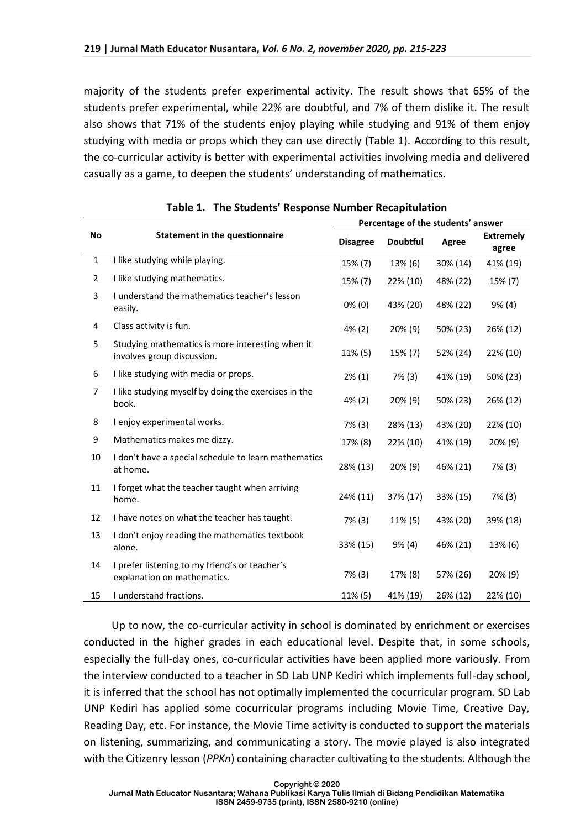majority of the students prefer experimental activity. The result shows that 65% of the students prefer experimental, while 22% are doubtful, and 7% of them dislike it. The result also shows that 71% of the students enjoy playing while studying and 91% of them enjoy studying with media or props which they can use directly (Table 1). According to this result, the co-curricular activity is better with experimental activities involving media and delivered casually as a game, to deepen the students' understanding of mathematics.

|              |                                                                                | Percentage of the students' answer |                 |          |                           |
|--------------|--------------------------------------------------------------------------------|------------------------------------|-----------------|----------|---------------------------|
| No           | <b>Statement in the questionnaire</b>                                          | <b>Disagree</b>                    | <b>Doubtful</b> | Agree    | <b>Extremely</b><br>agree |
| $\mathbf{1}$ | I like studying while playing.                                                 | 15% (7)                            | 13% (6)         | 30% (14) | 41% (19)                  |
| 2            | I like studying mathematics.                                                   | 15% (7)                            | 22% (10)        | 48% (22) | 15% (7)                   |
| 3            | I understand the mathematics teacher's lesson<br>easily.                       | $0\%$ (0)                          | 43% (20)        | 48% (22) | 9% (4)                    |
| 4            | Class activity is fun.                                                         | 4% (2)                             | 20% (9)         | 50% (23) | 26% (12)                  |
| 5            | Studying mathematics is more interesting when it<br>involves group discussion. | 11% (5)                            | 15% (7)         | 52% (24) | 22% (10)                  |
| 6            | I like studying with media or props.                                           | $2\%$ (1)                          | 7% (3)          | 41% (19) | 50% (23)                  |
| 7            | I like studying myself by doing the exercises in the<br>book.                  | 4% (2)                             | 20% (9)         | 50% (23) | 26% (12)                  |
| 8            | I enjoy experimental works.                                                    | $7\%$ (3)                          | 28% (13)        | 43% (20) | 22% (10)                  |
| 9            | Mathematics makes me dizzy.                                                    | 17% (8)                            | 22% (10)        | 41% (19) | 20% (9)                   |
| 10           | I don't have a special schedule to learn mathematics<br>at home.               | 28% (13)                           | 20% (9)         | 46% (21) | $7\%$ (3)                 |
| 11           | I forget what the teacher taught when arriving<br>home.                        | 24% (11)                           | 37% (17)        | 33% (15) | 7% (3)                    |
| 12           | I have notes on what the teacher has taught.                                   | 7% (3)                             | 11% (5)         | 43% (20) | 39% (18)                  |
| 13           | I don't enjoy reading the mathematics textbook<br>alone.                       | 33% (15)                           | 9% (4)          | 46% (21) | 13% (6)                   |
| 14           | I prefer listening to my friend's or teacher's<br>explanation on mathematics.  | $7\%$ (3)                          | 17% (8)         | 57% (26) | 20% (9)                   |
| 15           | I understand fractions.                                                        | 11% (5)                            | 41% (19)        | 26% (12) | 22% (10)                  |

|  |  | Table 1. The Students' Response Number Recapitulation |  |
|--|--|-------------------------------------------------------|--|
|--|--|-------------------------------------------------------|--|

Up to now, the co-curricular activity in school is dominated by enrichment or exercises conducted in the higher grades in each educational level. Despite that, in some schools, especially the full-day ones, co-curricular activities have been applied more variously. From the interview conducted to a teacher in SD Lab UNP Kediri which implements full-day school, it is inferred that the school has not optimally implemented the cocurricular program. SD Lab UNP Kediri has applied some cocurricular programs including Movie Time, Creative Day, Reading Day, etc. For instance, the Movie Time activity is conducted to support the materials on listening, summarizing, and communicating a story. The movie played is also integrated with the Citizenry lesson (*PPKn*) containing character cultivating to the students. Although the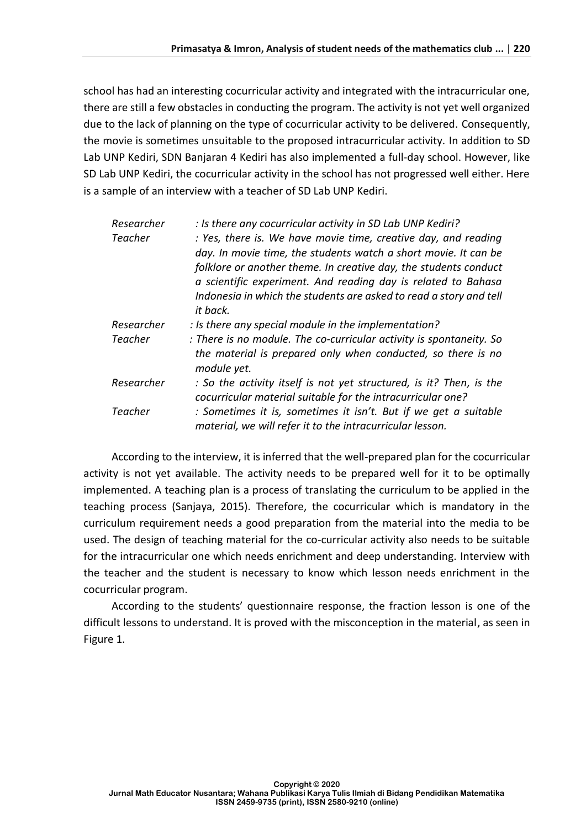school has had an interesting cocurricular activity and integrated with the intracurricular one, there are still a few obstacles in conducting the program. The activity is not yet well organized due to the lack of planning on the type of cocurricular activity to be delivered. Consequently, the movie is sometimes unsuitable to the proposed intracurricular activity. In addition to SD Lab UNP Kediri, SDN Banjaran 4 Kediri has also implemented a full-day school. However, like SD Lab UNP Kediri, the cocurricular activity in the school has not progressed well either. Here is a sample of an interview with a teacher of SD Lab UNP Kediri.

| Researcher<br><b>Teacher</b> | : Is there any cocurricular activity in SD Lab UNP Kediri?<br>: Yes, there is. We have movie time, creative day, and reading<br>day. In movie time, the students watch a short movie. It can be<br>folklore or another theme. In creative day, the students conduct<br>a scientific experiment. And reading day is related to Bahasa<br>Indonesia in which the students are asked to read a story and tell<br>it back. |
|------------------------------|------------------------------------------------------------------------------------------------------------------------------------------------------------------------------------------------------------------------------------------------------------------------------------------------------------------------------------------------------------------------------------------------------------------------|
| Researcher                   | : Is there any special module in the implementation?                                                                                                                                                                                                                                                                                                                                                                   |
| Teacher                      | : There is no module. The co-curricular activity is spontaneity. So<br>the material is prepared only when conducted, so there is no<br>module yet.                                                                                                                                                                                                                                                                     |
| Researcher                   | : So the activity itself is not yet structured, is it? Then, is the<br>cocurricular material suitable for the intracurricular one?                                                                                                                                                                                                                                                                                     |
| <b>Teacher</b>               | : Sometimes it is, sometimes it isn't. But if we get a suitable<br>material, we will refer it to the intracurricular lesson.                                                                                                                                                                                                                                                                                           |

According to the interview, it is inferred that the well-prepared plan for the cocurricular activity is not yet available. The activity needs to be prepared well for it to be optimally implemented. A teaching plan is a process of translating the curriculum to be applied in the teaching process (Sanjaya, 2015). Therefore, the cocurricular which is mandatory in the curriculum requirement needs a good preparation from the material into the media to be used. The design of teaching material for the co-curricular activity also needs to be suitable for the intracurricular one which needs enrichment and deep understanding. Interview with the teacher and the student is necessary to know which lesson needs enrichment in the cocurricular program.

According to the students' questionnaire response, the fraction lesson is one of the difficult lessons to understand. It is proved with the misconception in the material, as seen in Figure 1.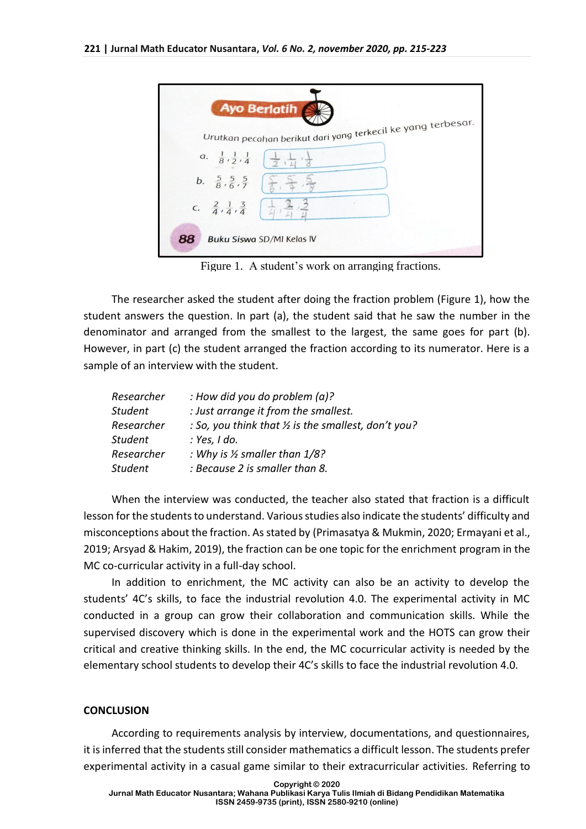| <b>Ayo Berlatih</b>                                                                             |
|-------------------------------------------------------------------------------------------------|
| Urutkan pecahan berikut dari yang terkecil ke yang terbesar.                                    |
| a. $\frac{1}{8}, \frac{1}{2}, \frac{1}{4}$ $\frac{1}{2}, \frac{1}{4}$                           |
|                                                                                                 |
| c. $\frac{2}{4}, \frac{1}{4}, \frac{3}{4}$ $\left(\frac{1}{4}\right), \frac{3}{4}, \frac{3}{4}$ |
| 88<br>Buku Siswa SD/MI Kelas IV                                                                 |

Figure 1. A student's work on arranging fractions.

The researcher asked the student after doing the fraction problem (Figure 1), how the student answers the question. In part (a), the student said that he saw the number in the denominator and arranged from the smallest to the largest, the same goes for part (b). However, in part (c) the student arranged the fraction according to its numerator. Here is a sample of an interview with the student.

| Researcher     | : How did you do problem $(a)$ ?                     |
|----------------|------------------------------------------------------|
| <b>Student</b> | : Just arrange it from the smallest.                 |
| Researcher     | : So, you think that 1/2 is the smallest, don't you? |
| <b>Student</b> | : Yes, I do.                                         |
| Researcher     | : Why is $\frac{1}{2}$ smaller than $\frac{1}{8}$ ?  |
| <b>Student</b> | : Because 2 is smaller than 8.                       |

When the interview was conducted, the teacher also stated that fraction is a difficult lesson for the students to understand. Various studies also indicate the students' difficulty and misconceptions about the fraction. As stated by (Primasatya & Mukmin, 2020; Ermayani et al., 2019; Arsyad & Hakim, 2019), the fraction can be one topic for the enrichment program in the MC co-curricular activity in a full-day school.

In addition to enrichment, the MC activity can also be an activity to develop the students' 4C's skills, to face the industrial revolution 4.0. The experimental activity in MC conducted in a group can grow their collaboration and communication skills. While the supervised discovery which is done in the experimental work and the HOTS can grow their critical and creative thinking skills. In the end, the MC cocurricular activity is needed by the elementary school students to develop their 4C's skills to face the industrial revolution 4.0.

#### **CONCLUSION**

According to requirements analysis by interview, documentations, and questionnaires, it is inferred that the students still consider mathematics a difficult lesson. The students prefer experimental activity in a casual game similar to their extracurricular activities. Referring to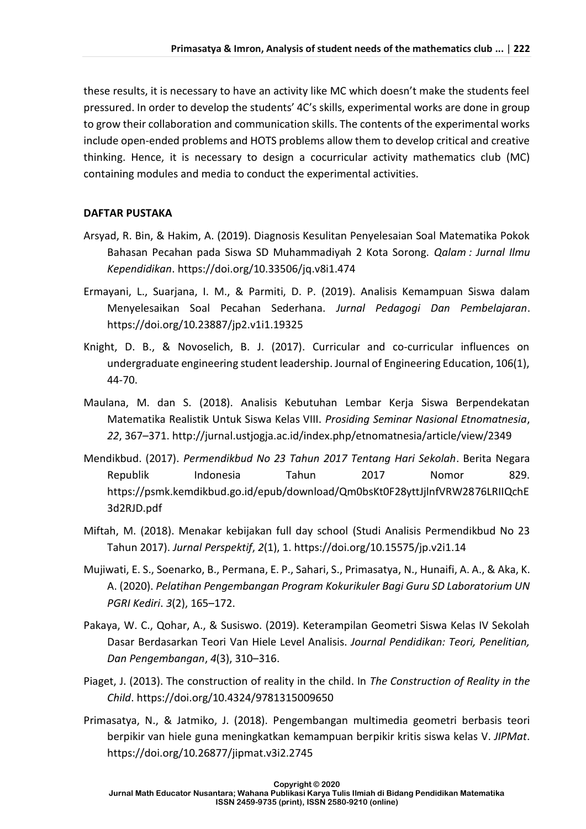these results, it is necessary to have an activity like MC which doesn't make the students feel pressured. In order to develop the students' 4C's skills, experimental works are done in group to grow their collaboration and communication skills. The contents of the experimental works include open-ended problems and HOTS problems allow them to develop critical and creative thinking. Hence, it is necessary to design a cocurricular activity mathematics club (MC) containing modules and media to conduct the experimental activities.

### **DAFTAR PUSTAKA**

- Arsyad, R. Bin, & Hakim, A. (2019). Diagnosis Kesulitan Penyelesaian Soal Matematika Pokok Bahasan Pecahan pada Siswa SD Muhammadiyah 2 Kota Sorong. *Qalam : Jurnal Ilmu Kependidikan*. https://doi.org/10.33506/jq.v8i1.474
- Ermayani, L., Suarjana, I. M., & Parmiti, D. P. (2019). Analisis Kemampuan Siswa dalam Menyelesaikan Soal Pecahan Sederhana. *Jurnal Pedagogi Dan Pembelajaran*. https://doi.org/10.23887/jp2.v1i1.19325
- Knight, D. B., & Novoselich, B. J. (2017). Curricular and co-curricular influences on undergraduate engineering student leadership. Journal of Engineering Education, 106(1), 44-70.
- Maulana, M. dan S. (2018). Analisis Kebutuhan Lembar Kerja Siswa Berpendekatan Matematika Realistik Untuk Siswa Kelas VIII. *Prosiding Seminar Nasional Etnomatnesia*, *22*, 367–371. http://jurnal.ustjogja.ac.id/index.php/etnomatnesia/article/view/2349
- Mendikbud. (2017). *Permendikbud No 23 Tahun 2017 Tentang Hari Sekolah*. Berita Negara Republik Indonesia Tahun 2017 Nomor 829. https://psmk.kemdikbud.go.id/epub/download/Qm0bsKt0F28yttJjlnfVRW2876LRIIQchE 3d2RJD.pdf
- Miftah, M. (2018). Menakar kebijakan full day school (Studi Analisis Permendikbud No 23 Tahun 2017). *Jurnal Perspektif*, *2*(1), 1. https://doi.org/10.15575/jp.v2i1.14
- Mujiwati, E. S., Soenarko, B., Permana, E. P., Sahari, S., Primasatya, N., Hunaifi, A. A., & Aka, K. A. (2020). *Pelatihan Pengembangan Program Kokurikuler Bagi Guru SD Laboratorium UN PGRI Kediri*. *3*(2), 165–172.
- Pakaya, W. C., Qohar, A., & Susiswo. (2019). Keterampilan Geometri Siswa Kelas IV Sekolah Dasar Berdasarkan Teori Van Hiele Level Analisis. *Journal Pendidikan: Teori, Penelitian, Dan Pengembangan*, *4*(3), 310–316.
- Piaget, J. (2013). The construction of reality in the child. In *The Construction of Reality in the Child*. https://doi.org/10.4324/9781315009650
- Primasatya, N., & Jatmiko, J. (2018). Pengembangan multimedia geometri berbasis teori berpikir van hiele guna meningkatkan kemampuan berpikir kritis siswa kelas V. *JIPMat*. https://doi.org/10.26877/jipmat.v3i2.2745